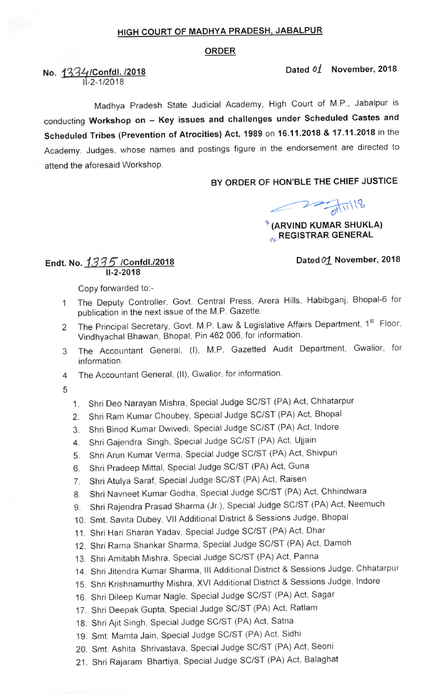#### HIGH COURT OF MADHYA PRADESH, JABALPUR

#### ORDER

Dated  $01$  November, 2018

# No. 1334/Confdl. /2018  $11 - 2 - 1/2018$

Madhya Pradesh State Judicial Academy, High Court of M.P., Jabalpur is conducting Workshop on - Key issues and challenges under Scheduled Castes and Scheduled Tribes (Prevention of Atrocities) Act, 1989 on 16.11.2018 & 17.11.2018 in the Academy. Judges, whose names and postings figure in the endorsement are directed to attend the aforesaid Workshop.

## BY ORDER OF HON'BLE THE CHIEF JUSTICE

 $22\frac{1}{20111118}$ 

## $\sqrt[q]{\sqrt[3]{(ARV)ND KUMAR SHUKLA)}}$ **REGISTRAR GENERAL**

#### Dated 01 November, 2018

#### Endt. No.  $1335$  /Confdl./2018 11-2-2018

Copy forwarded to:-

- The Deputy Controller, Govt. Central Press, Arera Hills, Habibganj, Bhopal-6 for  $\mathbf{1}$ publication in the next issue of the M.P. Gazette.
- The Principal Secretary, Govt. M.P. Law & Legislative Affairs Department, 1st Floor,  $\overline{a}$ Vindhyachal Bhawan, Bhopal, Pin 462 006, for information.
- The Accountant General, (I), M.P. Gazetted Audit Department, Gwalior, for 3 information.
- The Accountant General, (11), Gwalior, for information. 4
- 5
- 1. Shri Deo Narayan Mishra, Special Judge SC/ST (PA) Act, Chhatarpur
- 2. Shri Ram Kumar Choubey, Special Judge SC/ST (PA) Act, Bhopal
- 3. Shri Binod Kumar Dwivedi, Special Judge SC/ST (PA) Act, lndore
- 4. Shri Gajendra Singh, Special Judge SC/ST (PA) Act, Ujjain
- 5. Shri Arun Kumar Verma, Special Judge SC/ST (PA) Act, Shivpuri
- 6. Shri Pradeep Mittal, Special Judge SC/ST (PA) Act, Guna
- 7. Shri Atulya Saraf, Special Judge SC/ST (PA) Act, Raisen
- 8. Shri Navneet Kumar Godha, Special Judge SC/ST (PA) Act, Chhindwara
- 9. Shri Rajendra Prasad Sharma (Jr.), Special Judge SC/ST (PA) Act, Neemuch
- 10. Smt. Savita Dubey, Vll Additional District & Sessions Judge, Bhopal
- 11. Shri Hari Sharan Yadav, Special Judge SC/ST (PA) Act, Dhar
- 12. Shri Rama Shankar Sharma, Special Judge SC/ST (PA) Act, Damoh
- 13. Shri Amitabh Mishra, Special Judge SC/ST (PA) Act, Panna
- 14. Shri Jitendra Kumar Sharma, III Additional District & Sessions Judge, Chhatarpur
- 15. Shri Krishnamurthy Mishra, XVI Additional District & Sessions Judge, lndore
- 16. Shri Dileep Kumar Nagle, Special Judge SC/ST (PA) Act, Sagar
- 17. Shri Deepak Gupta, Special Judge SC/ST (PA) Act, Ratlam
- 18. Shri Ajit Singh, Special Judge SC/ST (PA) Act, Satna
- 19. Smt. Mamta Jain, Special Judge SC/ST (PA) Act, Sidhi
- 20. Smt. Ashita Shrivastava, Special Judge SC/ST (PA) Act, Seoni
- 21. Shri Rajaram Bhartiya, Special Judge SC/ST (PA) Act, Balaghat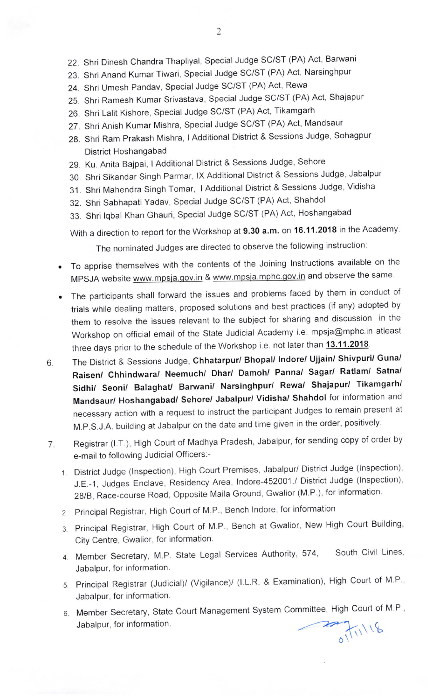- 22. Shri Dinesh Chandra Thapliyal, Special Judge SC/ST (PA) Act, Barwani
- 23. Shri Anand Kumar Tiwari, Special Judge SC/ST (PA) Act, Narsinghpur
- 24. Shri Umesh Pandav, Special Judge SC/ST (PA) Act, Rewa
- 25. Shri Ramesh Kumar Srivastava, Special Judge SC/ST (PA) Act, Shajapur
- 26. Shri Lalit Kishore, Special Judge SC/ST (PA) Act, Tikamgarh
- 27. Shri Anish Kumar Mishra, Special Judge SC/ST (PA) Act, Mandsaur
- 28. Shri Ram Prakash Mishra, I Additional District & Sessions Judge, Sohagpur District Hoshangabad
- 29. Ku. Anita Bajpai, I Additional District & Sessions Judge, Sehore
- 30. Shri Sikandar Singh Parmar, lx Additional District & Sessions Judge, Jabalpur
- 31. Shri Mahendra Singh Tomar, I Additional District & Sessions Judge, Vidisha
- 32. Shri Sabhapati Yadav, Special Judge SC/ST (PA) Act, Shahdol
- 33. Shri lqbal Khan Ghauri, Special Judge SC/ST (PA) Act, Hoshangabad

With a direction to report for the Workshop at 9.30 a.m. on 16.11.2018 in the Academy.

The nominated Judges are directed to observe the following instruction:

- To apprise themselves with the contents of the Joining Instructions available on the MPSJA website www.mpsja.gov.in & www.mpsja.mphc.gov.in and observe the same.
- The participants shall forward the issues and problems faced by them in conduct of trials while dealing matters, proposed solutions and best practices (if any) adopted by them to resolve the issues relevant to the subject for sharing and discussion in the Workshop on official email of the State Judicial Academy i.e. mpsja@mphc.in atleast three days prior to the schedule of the Workshop i.e. not later than 13.11.2018.
- The District & Sessions Judge, Chhatarpur/ Bhopal/ Indore/ Ujjain/ Shivpuri/ Guna/ 6. Raisen/ Chhindwara/ Neemuch/ Dhar/ Damoh/ Panna/ Sagar/ Ratlam/ Satna/ Sidhi/ Seoni/ Balaghat/ Barwani/ Narsinghpur/ Rewa/ Shajapur/ Tikamgarh/ Mandsaur/ Hoshangabad/ Sehore/ Jabalpur/ Vidisha/ Shahdol for information and necessary action with a request to instruct the participant Judges to remain present at M.P.S.J.A. building at Jabalpur on the date and time given in the order, positively.
- Registrar (I.T.), High Court of Madhya Pradesh, Jabalpur, for sending copy of order by 7. e-mail to following Judicial Officers:-
	- District Judge (Inspection), High Court Premises, Jabalpur/ District Judge (Inspection), J.E.-1, Judges Enclave, Residency Area, Indore-452001./ District Judge (Inspection), 28/B, Race-course Road, Opposite Maila Ground, Gwalior (M.P.), for information.
	- 2 Principal Registrar, High Court of M.P., Bench lndore, for information
	- 3. Principal Registrar, High Court of M.P., Bench at Gwalior, New High Court Building, City Centre, Gwalior, for information.
	- 4. Member Secretary, M.P. State Legal Services Authority, 574, South Civil Lines, Jabalpur, for information.
	- 5. Principal Reglstrar (Judicial)/ (Vigilance)/ (I.L.R. & Examination), High Court of M P., Jabalpur, for information.
	- 6. Member Secretary, State Court Management System Committee, High Court of M.P., Jabalpur, for information.